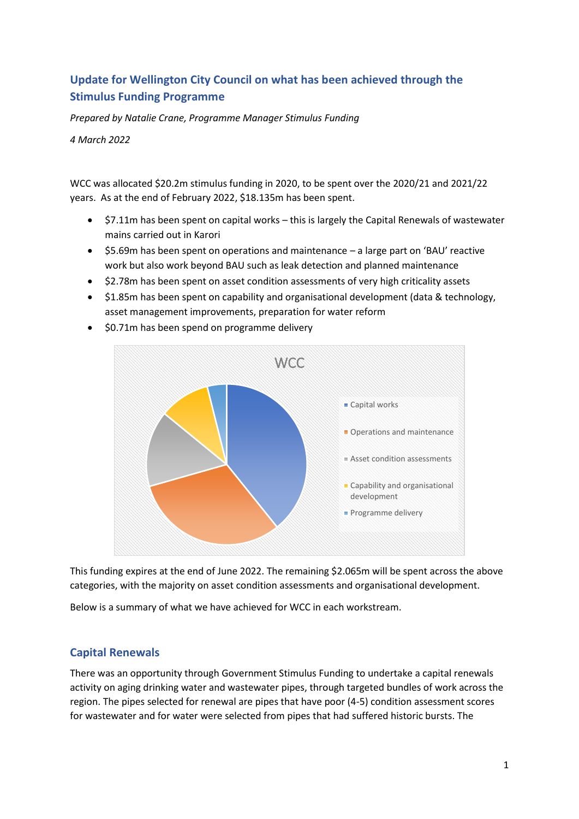# **Update for Wellington City Council on what has been achieved through the Stimulus Funding Programme**

*Prepared by Natalie Crane, Programme Manager Stimulus Funding*

*4 March 2022*

WCC was allocated \$20.2m stimulus funding in 2020, to be spent over the 2020/21 and 2021/22 years. As at the end of February 2022, \$18.135m has been spent.

- \$7.11m has been spent on capital works this is largely the Capital Renewals of wastewater mains carried out in Karori
- \$5.69m has been spent on operations and maintenance a large part on 'BAU' reactive work but also work beyond BAU such as leak detection and planned maintenance
- \$2.78m has been spent on asset condition assessments of very high criticality assets
- \$1.85m has been spent on capability and organisational development (data & technology, asset management improvements, preparation for water reform



• \$0.71m has been spend on programme delivery

This funding expires at the end of June 2022. The remaining \$2.065m will be spent across the above categories, with the majority on asset condition assessments and organisational development.

Below is a summary of what we have achieved for WCC in each workstream.

## **Capital Renewals**

There was an opportunity through Government Stimulus Funding to undertake a capital renewals activity on aging drinking water and wastewater pipes, through targeted bundles of work across the region. The pipes selected for renewal are pipes that have poor (4-5) condition assessment scores for wastewater and for water were selected from pipes that had suffered historic bursts. The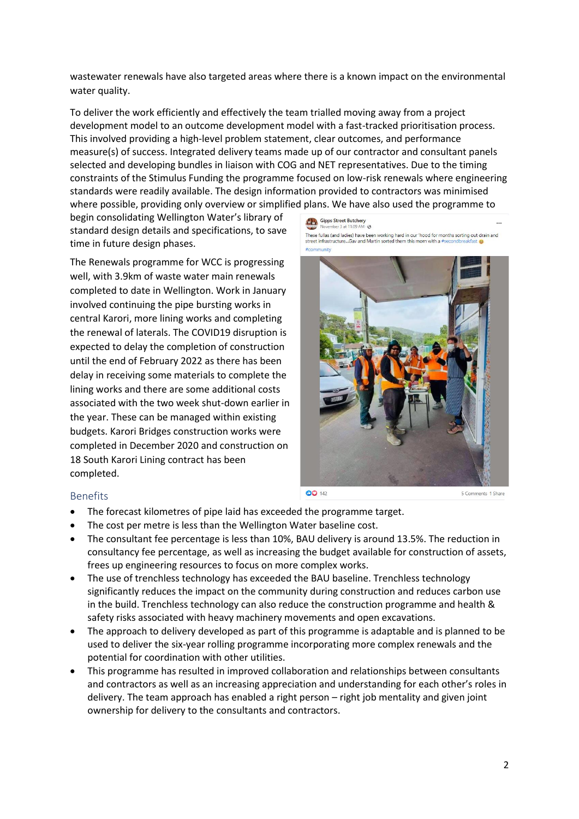wastewater renewals have also targeted areas where there is a known impact on the environmental water quality.

To deliver the work efficiently and effectively the team trialled moving away from a project development model to an outcome development model with a fast-tracked prioritisation process. This involved providing a high-level problem statement, clear outcomes, and performance measure(s) of success. Integrated delivery teams made up of our contractor and consultant panels selected and developing bundles in liaison with COG and NET representatives. Due to the timing constraints of the Stimulus Funding the programme focused on low-risk renewals where engineering standards were readily available. The design information provided to contractors was minimised where possible, providing only overview or simplified plans. We have also used the programme to

begin consolidating Wellington Water's library of standard design details and specifications, to save time in future design phases.

The Renewals programme for WCC is progressing well, with 3.9km of waste water main renewals completed to date in Wellington. Work in January involved continuing the pipe bursting works in central Karori, more lining works and completing the renewal of laterals. The COVID19 disruption is expected to delay the completion of construction until the end of February 2022 as there has been delay in receiving some materials to complete the lining works and there are some additional costs associated with the two week shut-down earlier in the year. These can be managed within existing budgets. Karori Bridges construction works were completed in December 2020 and construction on 18 South Karori Lining contract has been completed.

Gipps Street Butchery These fullas (and ladies) have been working hard in our 'hood for months sorting out drain and<br>street infrastructure...Gav and Martin sorted them this morn with a #secondbreakfast



#### Benefits

- The forecast kilometres of pipe laid has exceeded the programme target.
- The cost per metre is less than the Wellington Water baseline cost.
- The consultant fee percentage is less than 10%, BAU delivery is around 13.5%. The reduction in consultancy fee percentage, as well as increasing the budget available for construction of assets, frees up engineering resources to focus on more complex works.
- The use of trenchless technology has exceeded the BAU baseline. Trenchless technology significantly reduces the impact on the community during construction and reduces carbon use in the build. Trenchless technology can also reduce the construction programme and health & safety risks associated with heavy machinery movements and open excavations.
- The approach to delivery developed as part of this programme is adaptable and is planned to be used to deliver the six-year rolling programme incorporating more complex renewals and the potential for coordination with other utilities.
- This programme has resulted in improved collaboration and relationships between consultants and contractors as well as an increasing appreciation and understanding for each other's roles in delivery. The team approach has enabled a right person – right job mentality and given joint ownership for delivery to the consultants and contractors.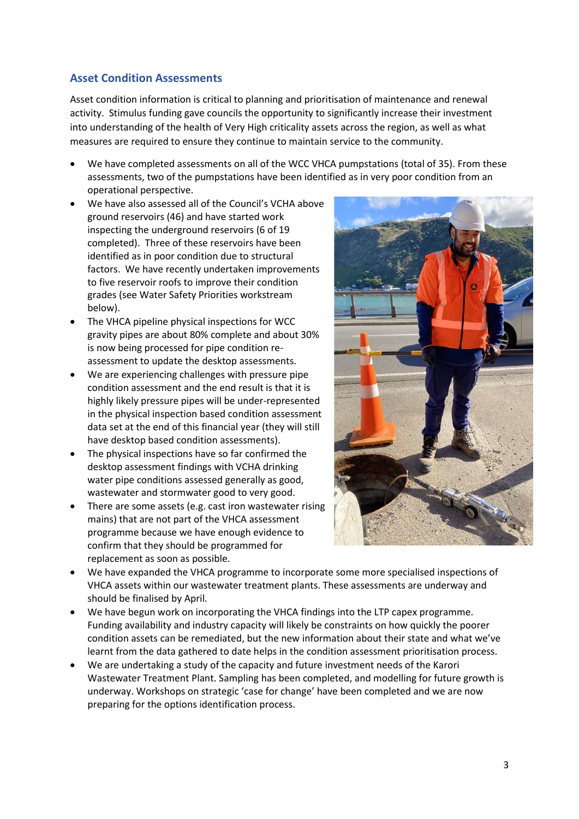## **Asset Condition Assessments**

Asset condition information is critical to planning and prioritisation of maintenance and renewal activity. Stimulus funding gave councils the opportunity to significantly increase their investment into understanding of the health of Very High criticality assets across the region, as well as what measures are required to ensure they continue to maintain service to the community.

- We have completed assessments on all of the WCC VHCA pumpstations (total of 35). From these assessments, two of the pumpstations have been identified as in very poor condition from an operational perspective.
- We have also assessed all of the Council's VCHA above ground reservoirs (46) and have started work inspecting the underground reservoirs (6 of 19 completed). Three of these reservoirs have been identified as in poor condition due to structural factors. We have recently undertaken improvements to five reservoir roofs to improve their condition grades (see Water Safety Priorities workstream below).
- The VHCA pipeline physical inspections for WCC gravity pipes are about 80% complete and about 30% is now being processed for pipe condition reassessment to update the desktop assessments.
- We are experiencing challenges with pressure pipe condition assessment and the end result is that it is highly likely pressure pipes will be under-represented in the physical inspection based condition assessment data set at the end of this financial year (they will still have desktop based condition assessments).
- The physical inspections have so far confirmed the desktop assessment findings with VCHA drinking water pipe conditions assessed generally as good, wastewater and stormwater good to very good.
- There are some assets (e.g. cast iron wastewater rising mains) that are not part of the VHCA assessment programme because we have enough evidence to confirm that they should be programmed for replacement as soon as possible.



- We have expanded the VHCA programme to incorporate some more specialised inspections of VHCA assets within our wastewater treatment plants. These assessments are underway and should be finalised by April.
- We have begun work on incorporating the VHCA findings into the LTP capex programme. Funding availability and industry capacity will likely be constraints on how quickly the poorer condition assets can be remediated, but the new information about their state and what we've learnt from the data gathered to date helps in the condition assessment prioritisation process.
- We are undertaking a study of the capacity and future investment needs of the Karori Wastewater Treatment Plant. Sampling has been completed, and modelling for future growth is underway. Workshops on strategic 'case for change' have been completed and we are now preparing for the options identification process.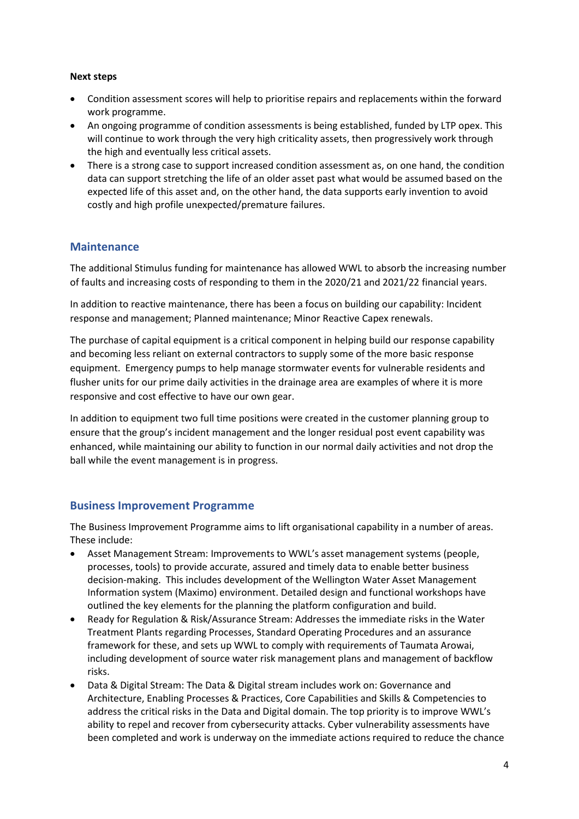#### **Next steps**

- Condition assessment scores will help to prioritise repairs and replacements within the forward work programme.
- An ongoing programme of condition assessments is being established, funded by LTP opex. This will continue to work through the very high criticality assets, then progressively work through the high and eventually less critical assets.
- There is a strong case to support increased condition assessment as, on one hand, the condition data can support stretching the life of an older asset past what would be assumed based on the expected life of this asset and, on the other hand, the data supports early invention to avoid costly and high profile unexpected/premature failures.

#### **Maintenance**

The additional Stimulus funding for maintenance has allowed WWL to absorb the increasing number of faults and increasing costs of responding to them in the 2020/21 and 2021/22 financial years.

In addition to reactive maintenance, there has been a focus on building our capability: Incident response and management; Planned maintenance; Minor Reactive Capex renewals.

The purchase of capital equipment is a critical component in helping build our response capability and becoming less reliant on external contractors to supply some of the more basic response equipment. Emergency pumps to help manage stormwater events for vulnerable residents and flusher units for our prime daily activities in the drainage area are examples of where it is more responsive and cost effective to have our own gear.

In addition to equipment two full time positions were created in the customer planning group to ensure that the group's incident management and the longer residual post event capability was enhanced, while maintaining our ability to function in our normal daily activities and not drop the ball while the event management is in progress.

#### **Business Improvement Programme**

The Business Improvement Programme aims to lift organisational capability in a number of areas. These include:

- Asset Management Stream: Improvements to WWL's asset management systems (people, processes, tools) to provide accurate, assured and timely data to enable better business decision-making. This includes development of the Wellington Water Asset Management Information system (Maximo) environment. Detailed design and functional workshops have outlined the key elements for the planning the platform configuration and build.
- Ready for Regulation & Risk/Assurance Stream: Addresses the immediate risks in the Water Treatment Plants regarding Processes, Standard Operating Procedures and an assurance framework for these, and sets up WWL to comply with requirements of Taumata Arowai, including development of source water risk management plans and management of backflow risks.
- Data & Digital Stream: The Data & Digital stream includes work on: Governance and Architecture, Enabling Processes & Practices, Core Capabilities and Skills & Competencies to address the critical risks in the Data and Digital domain. The top priority is to improve WWL's ability to repel and recover from cybersecurity attacks. Cyber vulnerability assessments have been completed and work is underway on the immediate actions required to reduce the chance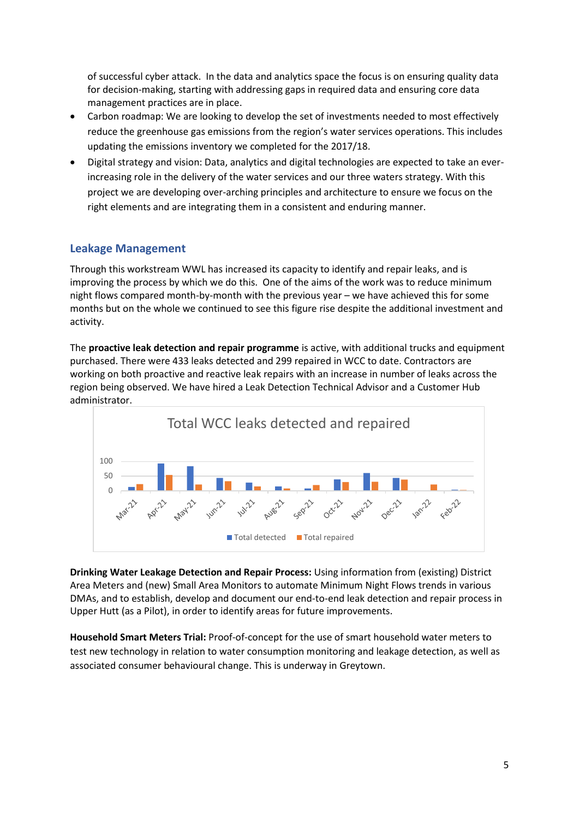of successful cyber attack. In the data and analytics space the focus is on ensuring quality data for decision-making, starting with addressing gaps in required data and ensuring core data management practices are in place.

- Carbon roadmap: We are looking to develop the set of investments needed to most effectively reduce the greenhouse gas emissions from the region's water services operations. This includes updating the emissions inventory we completed for the 2017/18.
- Digital strategy and vision: Data, analytics and digital technologies are expected to take an everincreasing role in the delivery of the water services and our three waters strategy. With this project we are developing over-arching principles and architecture to ensure we focus on the right elements and are integrating them in a consistent and enduring manner.

# **Leakage Management**

Through this workstream WWL has increased its capacity to identify and repair leaks, and is improving the process by which we do this. One of the aims of the work was to reduce minimum night flows compared month-by-month with the previous year – we have achieved this for some months but on the whole we continued to see this figure rise despite the additional investment and activity.

The **proactive leak detection and repair programme** is active, with additional trucks and equipment purchased. There were 433 leaks detected and 299 repaired in WCC to date. Contractors are working on both proactive and reactive leak repairs with an increase in number of leaks across the region being observed. We have hired a Leak Detection Technical Advisor and a Customer Hub administrator.



**Drinking Water Leakage Detection and Repair Process:** Using information from (existing) District Area Meters and (new) Small Area Monitors to automate Minimum Night Flows trends in various DMAs, and to establish, develop and document our end-to-end leak detection and repair process in Upper Hutt (as a Pilot), in order to identify areas for future improvements.

**Household Smart Meters Trial:** Proof-of-concept for the use of smart household water meters to test new technology in relation to water consumption monitoring and leakage detection, as well as associated consumer behavioural change. This is underway in Greytown.